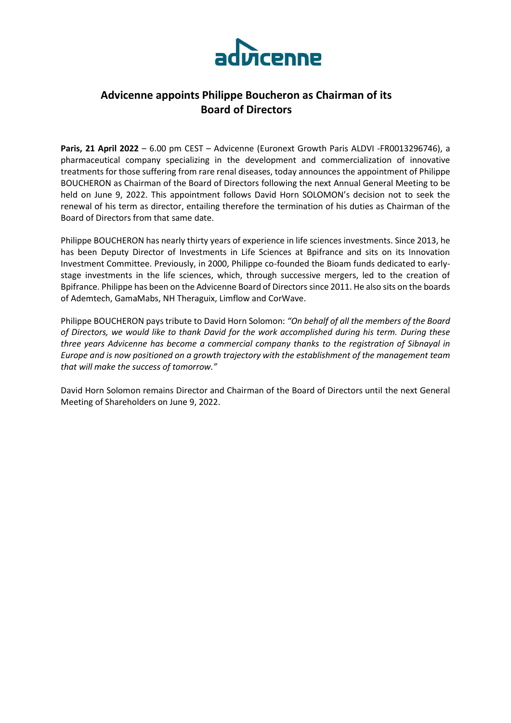

# **Advicenne appoints Philippe Boucheron as Chairman of its Board of Directors**

**Paris, 21 April 2022** – 6.00 pm CEST – Advicenne (Euronext Growth Paris ALDVI -FR0013296746), a pharmaceutical company specializing in the development and commercialization of innovative treatments for those suffering from rare renal diseases, today announces the appointment of Philippe BOUCHERON as Chairman of the Board of Directors following the next Annual General Meeting to be held on June 9, 2022. This appointment follows David Horn SOLOMON's decision not to seek the renewal of his term as director, entailing therefore the termination of his duties as Chairman of the Board of Directors from that same date.

Philippe BOUCHERON has nearly thirty years of experience in life sciences investments. Since 2013, he has been Deputy Director of Investments in Life Sciences at Bpifrance and sits on its Innovation Investment Committee. Previously, in 2000, Philippe co-founded the Bioam funds dedicated to earlystage investments in the life sciences, which, through successive mergers, led to the creation of Bpifrance. Philippe has been on the Advicenne Board of Directors since 2011. He also sits on the boards of Ademtech, GamaMabs, NH Theraguix, Limflow and CorWave.

Philippe BOUCHERON pays tribute to David Horn Solomon: *"On behalf of all the members of the Board of Directors, we would like to thank David for the work accomplished during his term. During these three years Advicenne has become a commercial company thanks to the registration of Sibnayal in Europe and is now positioned on a growth trajectory with the establishment of the management team that will make the success of tomorrow."*

David Horn Solomon remains Director and Chairman of the Board of Directors until the next General Meeting of Shareholders on June 9, 2022.